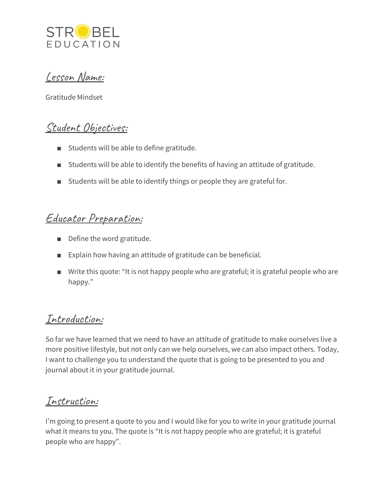

Lesson Name:

Gratitude Mindset

# Student Objectives:

- Students will be able to define gratitude.
- Students will be able to identify the benefits of having an attitude of gratitude.
- Students will be able to identify things or people they are grateful for.

# Educator Preparation:

- Define the word gratitude.
- Explain how having an attitude of gratitude can be beneficial.
- Write this quote: "It is not happy people who are grateful; it is grateful people who are happy."

# Introduction:

So far we have learned that we need to have an attitude of gratitude to make ourselves live a more positive lifestyle, but not only can we help ourselves, we can also impact others. Today, I want to challenge you to understand the quote that is going to be presented to you and journal about it in your gratitude journal.

### Instruction:

I'm going to present a quote to you and I would like for you to write in your gratitude journal what it means to you. The quote is "It is not happy people who are grateful; it is grateful people who are happy".